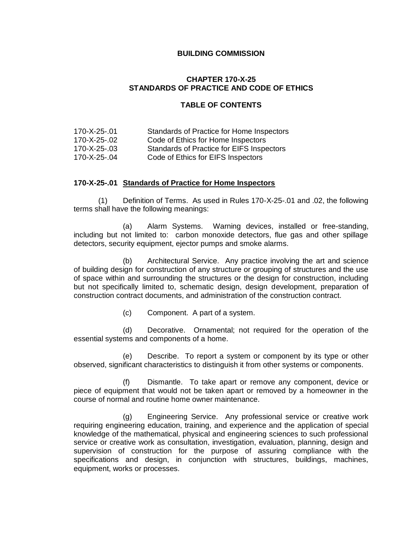#### **BUILDING COMMISSION**

## **CHAPTER 170-X-25 STANDARDS OF PRACTICE AND CODE OF ETHICS**

## **TABLE OF CONTENTS**

| 170-X-25-.01 | Standards of Practice for Home Inspectors |
|--------------|-------------------------------------------|
| 170-X-25-.02 | Code of Ethics for Home Inspectors        |
| 170-X-25-.03 | Standards of Practice for EIFS Inspectors |
| 170-X-25-.04 | Code of Ethics for EIFS Inspectors        |

#### **170-X-25-.01 Standards of Practice for Home Inspectors**

(1) Definition of Terms. As used in Rules 170-X-25-.01 and .02, the following terms shall have the following meanings:

(a) Alarm Systems.Warning devices, installed or free-standing, including but not limited to: carbon monoxide detectors, flue gas and other spillage detectors, security equipment, ejector pumps and smoke alarms.

(b) Architectural Service.Any practice involving the art and science of building design for construction of any structure or grouping of structures and the use of space within and surrounding the structures or the design for construction, including but not specifically limited to, schematic design, design development, preparation of construction contract documents, and administration of the construction contract.

(c) Component. A part of a system.

(d) Decorative.Ornamental; not required for the operation of the essential systems and components of a home.

(e) Describe.To report a system or component by its type or other observed, significant characteristics to distinguish it from other systems or components.

(f) Dismantle.To take apart or remove any component, device or piece of equipment that would not be taken apart or removed by a homeowner in the course of normal and routine home owner maintenance.

(g) Engineering Service.Any professional service or creative work requiring engineering education, training, and experience and the application of special knowledge of the mathematical, physical and engineering sciences to such professional service or creative work as consultation, investigation, evaluation, planning, design and supervision of construction for the purpose of assuring compliance with the specifications and design, in conjunction with structures, buildings, machines, equipment, works or processes.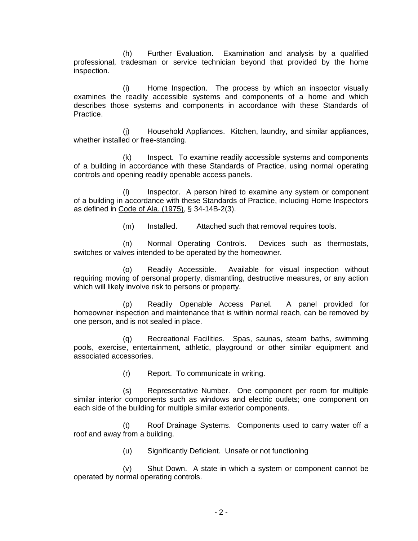(h) Further Evaluation.Examination and analysis by a qualified professional, tradesman or service technician beyond that provided by the home inspection.

(i) Home Inspection.The process by which an inspector visually examines the readily accessible systems and components of a home and which describes those systems and components in accordance with these Standards of Practice.

(j) Household Appliances.Kitchen, laundry, and similar appliances, whether installed or free-standing.

(k) Inspect.To examine readily accessible systems and components of a building in accordance with these Standards of Practice, using normal operating controls and opening readily openable access panels.

(l) Inspector.A person hired to examine any system or component of a building in accordance with these Standards of Practice, including Home Inspectors as defined in Code of Ala. (1975), § 34-14B-2(3).

(m) Installed.Attached such that removal requires tools.

(n) Normal Operating Controls.Devices such as thermostats, switches or valves intended to be operated by the homeowner.

(o) Readily Accessible.Available for visual inspection without requiring moving of personal property, dismantling, destructive measures, or any action which will likely involve risk to persons or property.

(p) Readily Openable Access Panel.A panel provided for homeowner inspection and maintenance that is within normal reach, can be removed by one person, and is not sealed in place.

(q) Recreational Facilities.Spas, saunas, steam baths, swimming pools, exercise, entertainment, athletic, playground or other similar equipment and associated accessories.

(r) Report.To communicate in writing.

(s) Representative Number.One component per room for multiple similar interior components such as windows and electric outlets; one component on each side of the building for multiple similar exterior components.

(t) Roof Drainage Systems.Components used to carry water off a roof and away from a building.

(u) Significantly Deficient.Unsafe or not functioning

(v) Shut Down.A state in which a system or component cannot be operated by normal operating controls.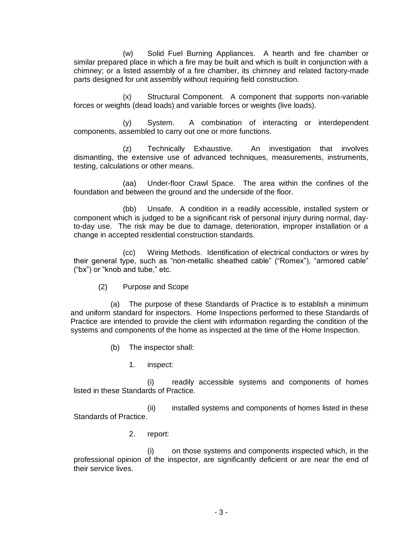(w) Solid Fuel Burning Appliances.A hearth and fire chamber or similar prepared place in which a fire may be built and which is built in conjunction with a chimney; or a listed assembly of a fire chamber, its chimney and related factory-made parts designed for unit assembly without requiring field construction.

(x) Structural Component.A component that supports non-variable forces or weights (dead loads) and variable forces or weights (live loads).

(y) System.A combination of interacting or interdependent components, assembled to carry out one or more functions.

(z) Technically Exhaustive.An investigation that involves dismantling, the extensive use of advanced techniques, measurements, instruments, testing, calculations or other means.

(aa) Under-floor Crawl Space. The area within the confines of the foundation and between the ground and the underside of the floor.

(bb) Unsafe.A condition in a readily accessible, installed system or component which is judged to be a significant risk of personal injury during normal, dayto-day use. The risk may be due to damage, deterioration, improper installation or a change in accepted residential construction standards.

(cc) Wiring Methods.Identification of electrical conductors or wires by their general type, such as "non-metallic sheathed cable" ("Romex"), "armored cable" ("bx") or "knob and tube," etc.

(2) Purpose and Scope

(a) The purpose of these Standards of Practice is to establish a minimum and uniform standard for inspectors. Home Inspections performed to these Standards of Practice are intended to provide the client with information regarding the condition of the systems and components of the home as inspected at the time of the Home Inspection.

- (b) The inspector shall:
	- 1. inspect:

(i) readily accessible systems and components of homes listed in these Standards of Practice.

(ii) installed systems and components of homes listed in these Standards of Practice.

2. report:

(i) on those systems and components inspected which, in the professional opinion of the inspector, are significantly deficient or are near the end of their service lives.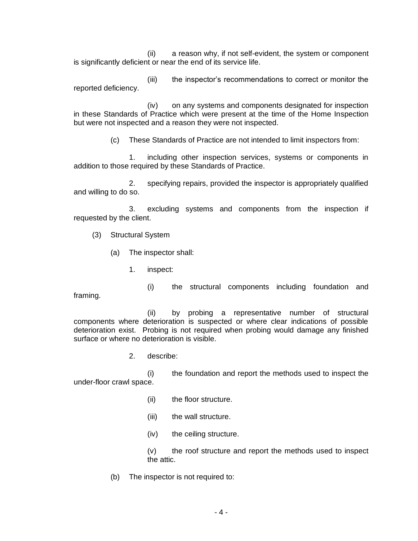(ii) a reason why, if not self-evident, the system or component is significantly deficient or near the end of its service life.

(iii) the inspector's recommendations to correct or monitor the reported deficiency.

(iv) on any systems and components designated for inspection in these Standards of Practice which were present at the time of the Home Inspection but were not inspected and a reason they were not inspected.

(c) These Standards of Practice are not intended to limit inspectors from:

1. including other inspection services, systems or components in addition to those required by these Standards of Practice.

2. specifying repairs, provided the inspector is appropriately qualified and willing to do so.

3. excluding systems and components from the inspection if requested by the client.

- (3) Structural System
	- (a) The inspector shall:
		- 1. inspect:
		- (i) the structural components including foundation and

framing.

(ii) by probing a representative number of structural components where deterioration is suspected or where clear indications of possible deterioration exist. Probing is not required when probing would damage any finished surface or where no deterioration is visible.

2. describe:

(i) the foundation and report the methods used to inspect the under-floor crawl space.

- (ii) the floor structure.
- (iii) the wall structure.
- (iv) the ceiling structure.

(v) the roof structure and report the methods used to inspect the attic.

(b) The inspector is not required to: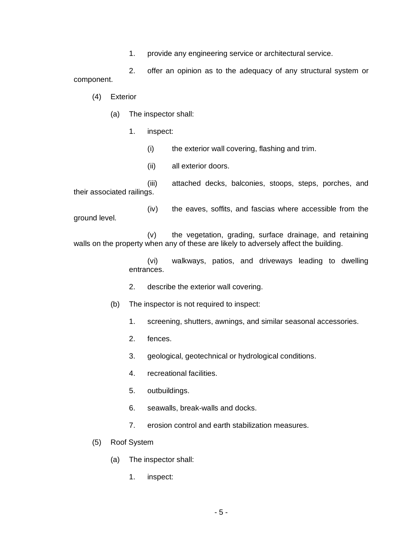1. provide any engineering service or architectural service.

2. offer an opinion as to the adequacy of any structural system or component.

- (4) Exterior
	- (a) The inspector shall:
		- 1. inspect:
			- (i) the exterior wall covering, flashing and trim.
			- (ii) all exterior doors.

(iii) attached decks, balconies, stoops, steps, porches, and their associated railings.

(iv) the eaves, soffits, and fascias where accessible from the ground level.

(v) the vegetation, grading, surface drainage, and retaining walls on the property when any of these are likely to adversely affect the building.

> (vi) walkways, patios, and driveways leading to dwelling entrances.

- 2. describe the exterior wall covering.
- (b) The inspector is not required to inspect:
	- 1. screening, shutters, awnings, and similar seasonal accessories.
	- 2. fences.
	- 3. geological, geotechnical or hydrological conditions.
	- 4. recreational facilities.
	- 5. outbuildings.
	- 6. seawalls, break-walls and docks.
	- 7. erosion control and earth stabilization measures.
- (5) Roof System
	- (a) The inspector shall:
		- 1. inspect: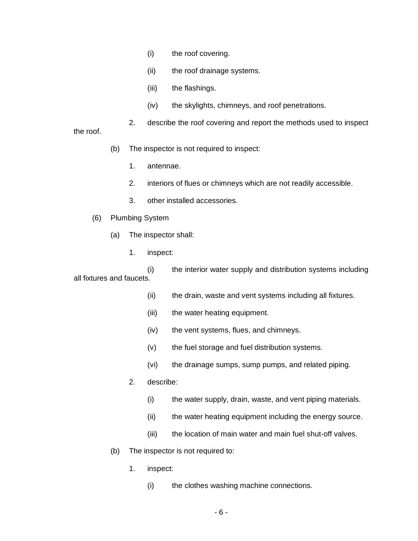- (i) the roof covering.
- (ii) the roof drainage systems.
- (iii) the flashings.
- (iv) the skylights, chimneys, and roof penetrations.
- 2. describe the roof covering and report the methods used to inspect

the roof.

- (b) The inspector is not required to inspect:
	- 1. antennae.
	- 2. interiors of flues or chimneys which are not readily accessible.
	- 3. other installed accessories.
- (6) Plumbing System
	- (a) The inspector shall:
		- 1. inspect:

(i) the interior water supply and distribution systems including all fixtures and faucets.

- (ii) the drain, waste and vent systems including all fixtures.
- (iii) the water heating equipment.
- (iv) the vent systems, flues, and chimneys.
- (v) the fuel storage and fuel distribution systems.
- (vi) the drainage sumps, sump pumps, and related piping.
- 2. describe:
	- (i) the water supply, drain, waste, and vent piping materials.
	- (ii) the water heating equipment including the energy source.
	- (iii) the location of main water and main fuel shut-off valves.
- (b) The inspector is not required to:
	- 1. inspect:
		- (i) the clothes washing machine connections.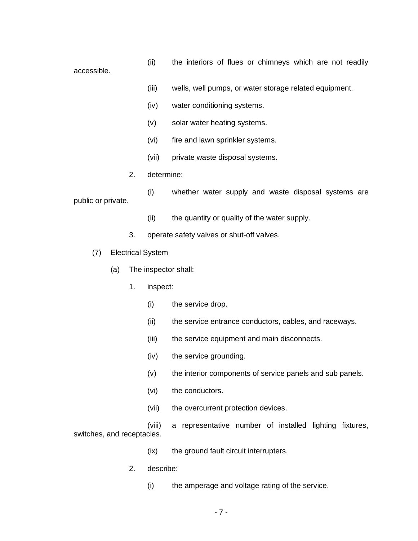(ii) the interiors of flues or chimneys which are not readily accessible.

- (iii) wells, well pumps, or water storage related equipment.
- (iv) water conditioning systems.
- (v) solar water heating systems.
- (vi) fire and lawn sprinkler systems.
- (vii) private waste disposal systems.
- 2. determine:

(i) whether water supply and waste disposal systems are public or private.

- (ii) the quantity or quality of the water supply.
- 3. operate safety valves or shut-off valves.
- (7) Electrical System
	- (a) The inspector shall:
		- 1. inspect:
			- (i) the service drop.
			- (ii) the service entrance conductors, cables, and raceways.
			- (iii) the service equipment and main disconnects.
			- (iv) the service grounding.
			- (v) the interior components of service panels and sub panels.
			- (vi) the conductors.
			- (vii) the overcurrent protection devices.

(viii) a representative number of installed lighting fixtures, switches, and receptacles.

- (ix) the ground fault circuit interrupters.
- 2. describe:
	- (i) the amperage and voltage rating of the service.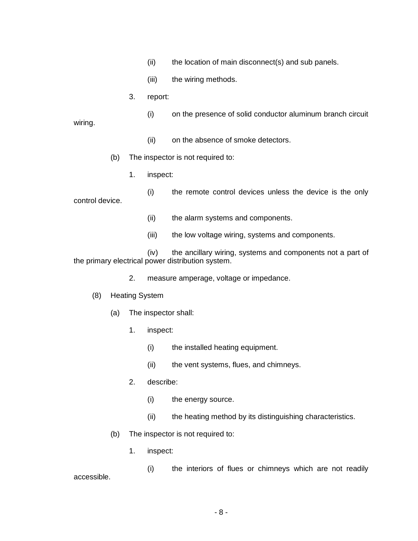- (ii) the location of main disconnect(s) and sub panels.
- (iii) the wiring methods.
- 3. report:
- (i) on the presence of solid conductor aluminum branch circuit wiring.
	- (ii) on the absence of smoke detectors.

(b) The inspector is not required to:

1. inspect:

(i) the remote control devices unless the device is the only control device.

- (ii) the alarm systems and components.
- (iii) the low voltage wiring, systems and components.

(iv) the ancillary wiring, systems and components not a part of the primary electrical power distribution system.

- 2. measure amperage, voltage or impedance.
- (8) Heating System
	- (a) The inspector shall:
		- 1. inspect:
			- (i) the installed heating equipment.
			- (ii) the vent systems, flues, and chimneys.
		- 2. describe:
			- (i) the energy source.
			- (ii) the heating method by its distinguishing characteristics.
	- (b) The inspector is not required to:
		- 1. inspect:

(i) the interiors of flues or chimneys which are not readily accessible.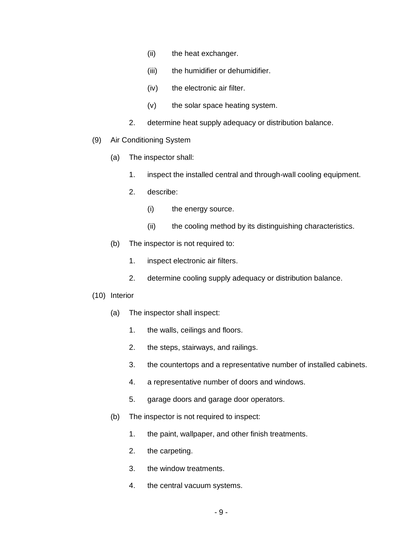- (ii) the heat exchanger.
- (iii) the humidifier or dehumidifier.
- (iv) the electronic air filter.
- (v) the solar space heating system.
- 2. determine heat supply adequacy or distribution balance.
- (9) Air Conditioning System
	- (a) The inspector shall:
		- 1. inspect the installed central and through-wall cooling equipment.
		- 2. describe:
			- (i) the energy source.
			- (ii) the cooling method by its distinguishing characteristics.
	- (b) The inspector is not required to:
		- 1. inspect electronic air filters.
		- 2. determine cooling supply adequacy or distribution balance.
- (10) Interior
	- (a) The inspector shall inspect:
		- 1. the walls, ceilings and floors.
		- 2. the steps, stairways, and railings.
		- 3. the countertops and a representative number of installed cabinets.
		- 4. a representative number of doors and windows.
		- 5. garage doors and garage door operators.
	- (b) The inspector is not required to inspect:
		- 1. the paint, wallpaper, and other finish treatments.
		- 2. the carpeting.
		- 3. the window treatments.
		- 4. the central vacuum systems.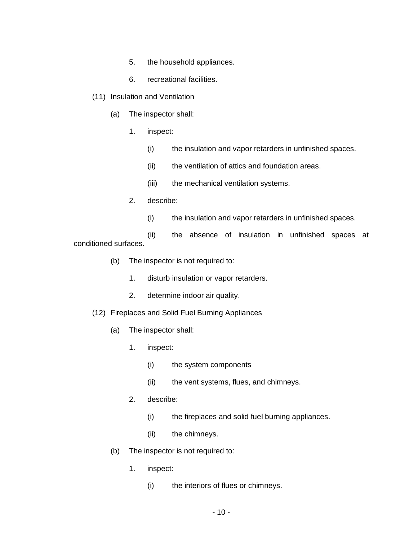- 5. the household appliances.
- 6. recreational facilities.
- (11) Insulation and Ventilation
	- (a) The inspector shall:
		- 1. inspect:
			- (i) the insulation and vapor retarders in unfinished spaces.
			- (ii) the ventilation of attics and foundation areas.
			- (iii) the mechanical ventilation systems.
		- 2. describe:
			- (i) the insulation and vapor retarders in unfinished spaces.

(ii) the absence of insulation in unfinished spaces at conditioned surfaces.

- (b) The inspector is not required to:
	- 1. disturb insulation or vapor retarders.
	- 2. determine indoor air quality.

#### (12) Fireplaces and Solid Fuel Burning Appliances

- (a) The inspector shall:
	- 1. inspect:
		- (i) the system components
		- (ii) the vent systems, flues, and chimneys.
	- 2. describe:
		- (i) the fireplaces and solid fuel burning appliances.
		- (ii) the chimneys.
- (b) The inspector is not required to:
	- 1. inspect:
		- (i) the interiors of flues or chimneys.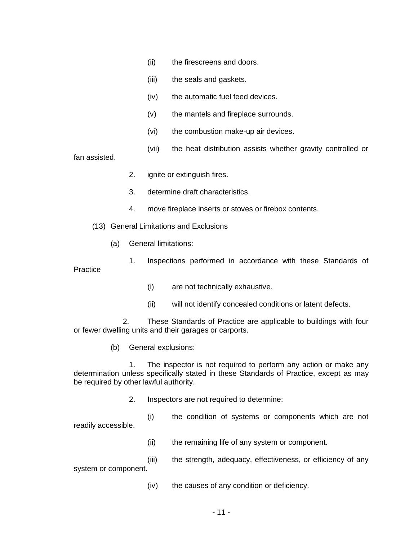- (ii) the firescreens and doors.
- (iii) the seals and gaskets.
- (iv) the automatic fuel feed devices.
- (v) the mantels and fireplace surrounds.
- (vi) the combustion make-up air devices.
- (vii) the heat distribution assists whether gravity controlled or

fan assisted.

- 2. ignite or extinguish fires.
- 3. determine draft characteristics.
- 4. move fireplace inserts or stoves or firebox contents.

(13) General Limitations and Exclusions

(a) General limitations:

1. Inspections performed in accordance with these Standards of **Practice** 

- (i) are not technically exhaustive.
- (ii) will not identify concealed conditions or latent defects.

2. These Standards of Practice are applicable to buildings with four or fewer dwelling units and their garages or carports.

(b) General exclusions:

1. The inspector is not required to perform any action or make any determination unless specifically stated in these Standards of Practice, except as may be required by other lawful authority.

2. Inspectors are not required to determine:

(i) the condition of systems or components which are not readily accessible.

(ii) the remaining life of any system or component.

(iii) the strength, adequacy, effectiveness, or efficiency of any system or component.

(iv) the causes of any condition or deficiency.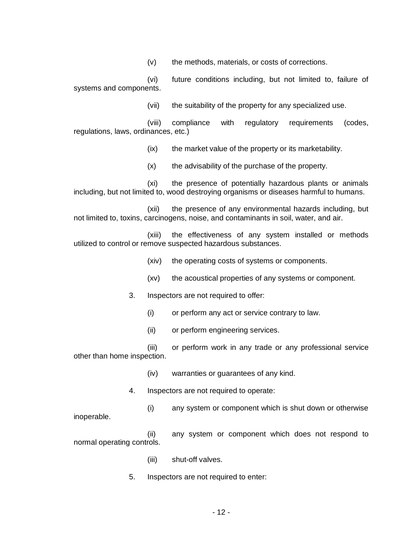(v) the methods, materials, or costs of corrections.

(vi) future conditions including, but not limited to, failure of systems and components.

(vii) the suitability of the property for any specialized use.

(viii) compliance with regulatory requirements (codes, regulations, laws, ordinances, etc.)

(ix) the market value of the property or its marketability.

(x) the advisability of the purchase of the property.

(xi) the presence of potentially hazardous plants or animals including, but not limited to, wood destroying organisms or diseases harmful to humans.

(xii) the presence of any environmental hazards including, but not limited to, toxins, carcinogens, noise, and contaminants in soil, water, and air.

(xiii) the effectiveness of any system installed or methods utilized to control or remove suspected hazardous substances.

- (xiv) the operating costs of systems or components.
- (xv) the acoustical properties of any systems or component.
- 3. Inspectors are not required to offer:
	- (i) or perform any act or service contrary to law.
	- (ii) or perform engineering services.

(iii) or perform work in any trade or any professional service other than home inspection.

(iv) warranties or guarantees of any kind.

4. Inspectors are not required to operate:

(i) any system or component which is shut down or otherwise inoperable.

(ii) any system or component which does not respond to normal operating controls.

(iii) shut-off valves.

5. Inspectors are not required to enter: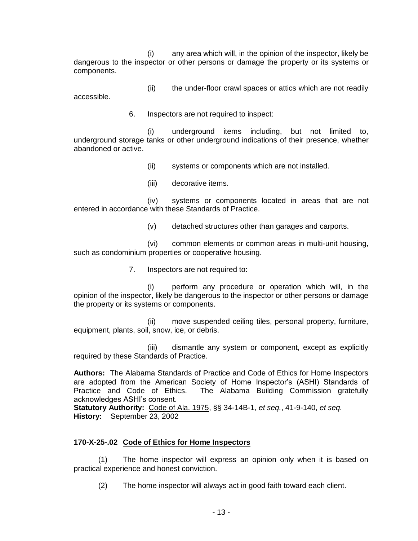(i) any area which will, in the opinion of the inspector, likely be dangerous to the inspector or other persons or damage the property or its systems or components.

(ii) the under-floor crawl spaces or attics which are not readily accessible.

6. Inspectors are not required to inspect:

(i) underground items including, but not limited to, underground storage tanks or other underground indications of their presence, whether abandoned or active.

(ii) systems or components which are not installed.

(iii) decorative items.

(iv) systems or components located in areas that are not entered in accordance with these Standards of Practice.

(v) detached structures other than garages and carports.

(vi) common elements or common areas in multi-unit housing, such as condominium properties or cooperative housing.

7. Inspectors are not required to:

(i) perform any procedure or operation which will, in the opinion of the inspector, likely be dangerous to the inspector or other persons or damage the property or its systems or components.

(ii) move suspended ceiling tiles, personal property, furniture, equipment, plants, soil, snow, ice, or debris.

(iii) dismantle any system or component, except as explicitly required by these Standards of Practice.

**Authors:** The Alabama Standards of Practice and Code of Ethics for Home Inspectors are adopted from the American Society of Home Inspector's (ASHI) Standards of Practice and Code of Ethics. The Alabama Building Commission gratefully acknowledges ASHI's consent.

**Statutory Authority:** Code of Ala. 1975, §§ 34-14B-1, *et seq.*, 41-9-140, *et seq.* **History:** September 23, 2002

# **170-X-25-.02 Code of Ethics for Home Inspectors**

(1) The home inspector will express an opinion only when it is based on practical experience and honest conviction.

(2) The home inspector will always act in good faith toward each client.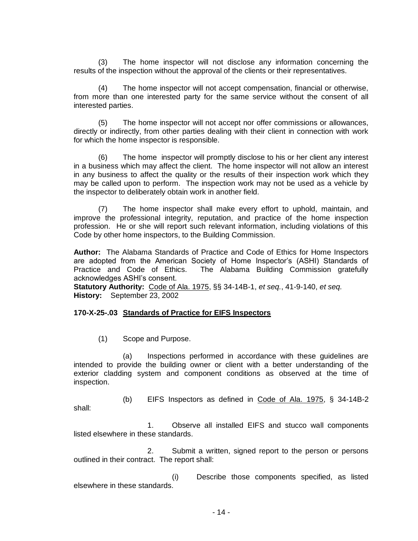(3) The home inspector will not disclose any information concerning the results of the inspection without the approval of the clients or their representatives.

(4) The home inspector will not accept compensation, financial or otherwise, from more than one interested party for the same service without the consent of all interested parties.

(5) The home inspector will not accept nor offer commissions or allowances, directly or indirectly, from other parties dealing with their client in connection with work for which the home inspector is responsible.

(6) The home inspector will promptly disclose to his or her client any interest in a business which may affect the client. The home inspector will not allow an interest in any business to affect the quality or the results of their inspection work which they may be called upon to perform. The inspection work may not be used as a vehicle by the inspector to deliberately obtain work in another field.

(7) The home inspector shall make every effort to uphold, maintain, and improve the professional integrity, reputation, and practice of the home inspection profession. He or she will report such relevant information, including violations of this Code by other home inspectors, to the Building Commission.

**Author:** The Alabama Standards of Practice and Code of Ethics for Home Inspectors are adopted from the American Society of Home Inspector's (ASHI) Standards of Practice and Code of Ethics. The Alabama Building Commission gratefully acknowledges ASHI's consent.

**Statutory Authority:** Code of Ala. 1975, §§ 34-14B-1, *et seq.*, 41-9-140, *et seq.* **History:** September 23, 2002

**170-X-25-.03 Standards of Practice for EIFS Inspectors**

(1) Scope and Purpose.

(a) Inspections performed in accordance with these guidelines are intended to provide the building owner or client with a better understanding of the exterior cladding system and component conditions as observed at the time of inspection.

(b) EIFS Inspectors as defined in Code of Ala. 1975, § 34-14B-2 shall:

1. Observe all installed EIFS and stucco wall components listed elsewhere in these standards.

2. Submit a written, signed report to the person or persons outlined in their contract. The report shall:

(i) Describe those components specified, as listed elsewhere in these standards.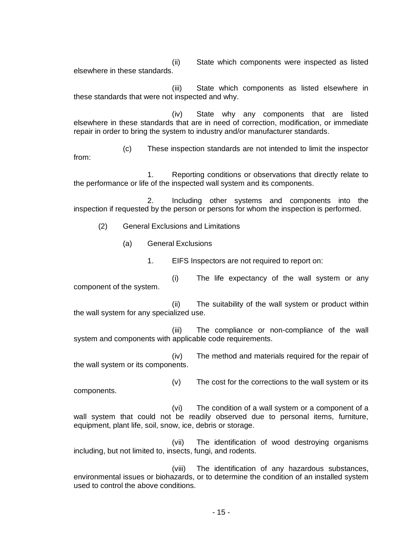(ii) State which components were inspected as listed elsewhere in these standards.

(iii) State which components as listed elsewhere in these standards that were not inspected and why.

(iv) State why any components that are listed elsewhere in these standards that are in need of correction, modification, or immediate repair in order to bring the system to industry and/or manufacturer standards.

(c) These inspection standards are not intended to limit the inspector from:

1. Reporting conditions or observations that directly relate to the performance or life of the inspected wall system and its components.

2. Including other systems and components into the inspection if requested by the person or persons for whom the inspection is performed.

(2) General Exclusions and Limitations

(a) General Exclusions

1. EIFS Inspectors are not required to report on:

(i) The life expectancy of the wall system or any component of the system.

(ii) The suitability of the wall system or product within the wall system for any specialized use.

(iii) The compliance or non-compliance of the wall system and components with applicable code requirements.

(iv) The method and materials required for the repair of the wall system or its components.

components.

(v) The cost for the corrections to the wall system or its

(vi) The condition of a wall system or a component of a wall system that could not be readily observed due to personal items, furniture, equipment, plant life, soil, snow, ice, debris or storage.

(vii) The identification of wood destroying organisms including, but not limited to, insects, fungi, and rodents.

(viii) The identification of any hazardous substances, environmental issues or biohazards, or to determine the condition of an installed system used to control the above conditions.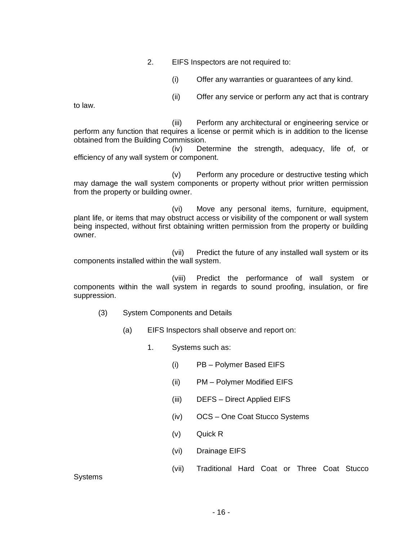2. EIFS Inspectors are not required to:

(i) Offer any warranties or guarantees of any kind.

(ii) Offer any service or perform any act that is contrary

to law.

(iii) Perform any architectural or engineering service or perform any function that requires a license or permit which is in addition to the license obtained from the Building Commission.

(iv) Determine the strength, adequacy, life of, or efficiency of any wall system or component.

(v) Perform any procedure or destructive testing which may damage the wall system components or property without prior written permission from the property or building owner.

(vi) Move any personal items, furniture, equipment, plant life, or items that may obstruct access or visibility of the component or wall system being inspected, without first obtaining written permission from the property or building owner.

(vii) Predict the future of any installed wall system or its components installed within the wall system.

(viii) Predict the performance of wall system or components within the wall system in regards to sound proofing, insulation, or fire suppression.

- (3) System Components and Details
	- (a) EIFS Inspectors shall observe and report on:
		- 1. Systems such as:
			- (i) PB Polymer Based EIFS
			- (ii) PM Polymer Modified EIFS
			- (iii) DEFS Direct Applied EIFS
			- (iv) OCS One Coat Stucco Systems
			- (v) Quick R
			- (vi) Drainage EIFS
			- (vii) Traditional Hard Coat or Three Coat Stucco

**Systems**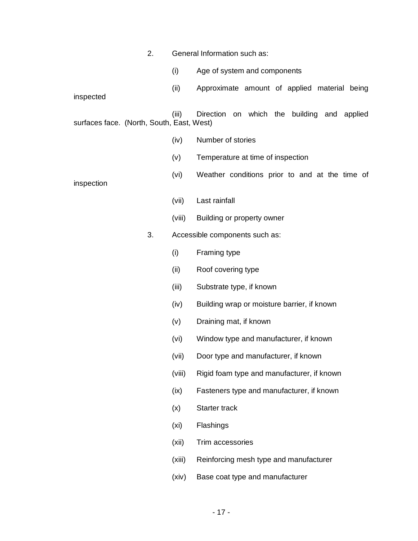|                                           | 2. |                   | General Information such as:                   |
|-------------------------------------------|----|-------------------|------------------------------------------------|
|                                           |    | (i)               | Age of system and components                   |
| inspected                                 |    | (ii)              | Approximate amount of applied material being   |
| surfaces face. (North, South, East, West) |    | (iii)             | Direction on which the building and applied    |
|                                           |    | (iv)              | Number of stories                              |
|                                           |    | (v)               | Temperature at time of inspection              |
| inspection                                |    | (vi)              | Weather conditions prior to and at the time of |
|                                           |    | (vii)             | Last rainfall                                  |
|                                           |    | (viii)            | Building or property owner                     |
|                                           | 3. |                   | Accessible components such as:                 |
|                                           |    | (i)               | Framing type                                   |
|                                           |    | (ii)              | Roof covering type                             |
|                                           |    | (iii)             | Substrate type, if known                       |
|                                           |    | (iv)              | Building wrap or moisture barrier, if known    |
|                                           |    | (v)               | Draining mat, if known                         |
|                                           |    | (vi)              | Window type and manufacturer, if known         |
|                                           |    | (vii)             | Door type and manufacturer, if known           |
|                                           |    | (viii)            | Rigid foam type and manufacturer, if known     |
|                                           |    | (ix)              | Fasteners type and manufacturer, if known      |
|                                           |    | (x)               | Starter track                                  |
|                                           |    | (x <sub>i</sub> ) | Flashings                                      |
|                                           |    | (xii)             | Trim accessories                               |
|                                           |    | (xiii)            | Reinforcing mesh type and manufacturer         |
|                                           |    | (xiv)             | Base coat type and manufacturer                |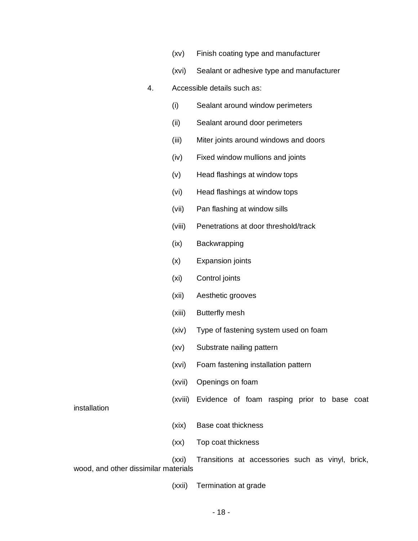- (xv) Finish coating type and manufacturer
- (xvi) Sealant or adhesive type and manufacturer
- 4. Accessible details such as:
	- (i) Sealant around window perimeters
	- (ii) Sealant around door perimeters
	- (iii) Miter joints around windows and doors
	- (iv) Fixed window mullions and joints
	- (v) Head flashings at window tops
	- (vi) Head flashings at window tops
	- (vii) Pan flashing at window sills
	- (viii) Penetrations at door threshold/track
	- (ix) Backwrapping
	- (x) Expansion joints
	- (xi) Control joints
	- (xii) Aesthetic grooves
	- (xiii) Butterfly mesh
	- (xiv) Type of fastening system used on foam
	- (xv) Substrate nailing pattern
	- (xvi) Foam fastening installation pattern
	- (xvii) Openings on foam
	- (xviii) Evidence of foam rasping prior to base coat

installation

- (xix) Base coat thickness
- (xx) Top coat thickness

(xxi) Transitions at accessories such as vinyl, brick, wood, and other dissimilar materials

(xxii) Termination at grade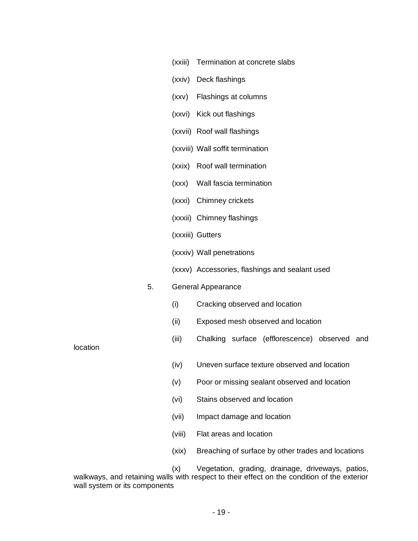|          |    | (xxiii) | Termination at concrete slabs                      |
|----------|----|---------|----------------------------------------------------|
|          |    |         | (xxiv) Deck flashings                              |
|          |    | (xxv)   | Flashings at columns                               |
|          |    |         | (xxvi) Kick out flashings                          |
|          |    |         | (xxvii) Roof wall flashings                        |
|          |    |         | (xxviii) Wall soffit termination                   |
|          |    |         | (xxix) Roof wall termination                       |
|          |    |         | (xxx) Wall fascia termination                      |
|          |    |         | (xxxi) Chimney crickets                            |
|          |    |         | (xxxii) Chimney flashings                          |
|          |    |         | (xxxiii) Gutters                                   |
|          |    |         | (xxxiv) Wall penetrations                          |
|          |    |         | (xxxv) Accessories, flashings and sealant used     |
|          | 5. |         | <b>General Appearance</b>                          |
|          |    | (i)     | Cracking observed and location                     |
|          |    | (ii)    | Exposed mesh observed and location                 |
| location |    | (iii)   | Chalking surface (efflorescence) observed<br>and   |
|          |    | (iv)    | Uneven surface texture observed and location       |
|          |    | (v)     | Poor or missing sealant observed and location      |
|          |    | (vi)    | Stains observed and location                       |
|          |    | (vii)   | Impact damage and location                         |
|          |    | (viii)  | Flat areas and location                            |
|          |    | (xix)   | Breaching of surface by other trades and locations |
|          |    | (x)     | Vegetation, grading, drainage, driveways, patios,  |

walkways, and retaining walls with respect to their effect on the condition of the exterior wall system or its components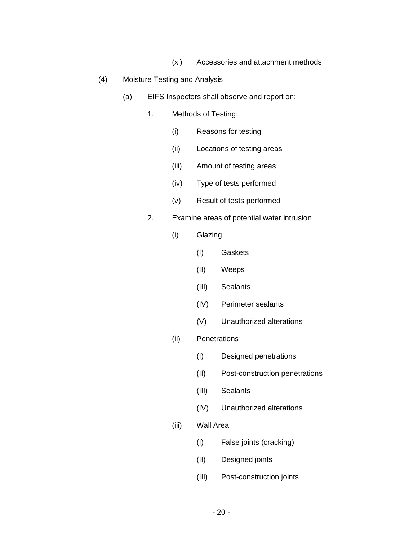- (xi) Accessories and attachment methods
- (4) Moisture Testing and Analysis
	- (a) EIFS Inspectors shall observe and report on:
		- 1. Methods of Testing:
			- (i) Reasons for testing
			- (ii) Locations of testing areas
			- (iii) Amount of testing areas
			- (iv) Type of tests performed
			- (v) Result of tests performed
		- 2. Examine areas of potential water intrusion
			- (i) Glazing
				- (I) Gaskets
				- (II) Weeps
				- (III) Sealants
				- (IV) Perimeter sealants
				- (V) Unauthorized alterations
			- (ii) Penetrations
				- (I) Designed penetrations
				- (II) Post-construction penetrations
				- (III) Sealants
				- (IV) Unauthorized alterations
			- (iii) Wall Area
				- (I) False joints (cracking)
				- (II) Designed joints
				- (III) Post-construction joints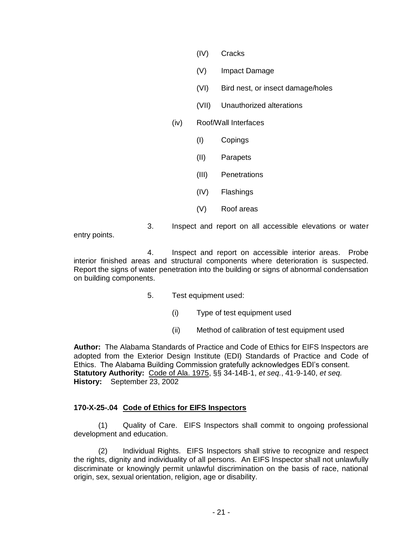- (IV) Cracks
- (V) Impact Damage
- (VI) Bird nest, or insect damage/holes
- (VII) Unauthorized alterations

## (iv) Roof/Wall Interfaces

- (I) Copings
- (II) Parapets
- (III) Penetrations
- (IV) Flashings
- (V) Roof areas

entry points.

4. Inspect and report on accessible interior areas. Probe interior finished areas and structural components where deterioration is suspected. Report the signs of water penetration into the building or signs of abnormal condensation

on building components.

- 5. Test equipment used:
	- (i) Type of test equipment used
	- (ii) Method of calibration of test equipment used

3. Inspect and report on all accessible elevations or water

**Author:** The Alabama Standards of Practice and Code of Ethics for EIFS Inspectors are adopted from the Exterior Design Institute (EDI) Standards of Practice and Code of Ethics. The Alabama Building Commission gratefully acknowledges EDI's consent. **Statutory Authority:** Code of Ala. 1975, §§ 34-14B-1, *et seq.*, 41-9-140, *et seq.* **History:** September 23, 2002

#### **170-X-25-.04 Code of Ethics for EIFS Inspectors**

(1) Quality of Care. EIFS Inspectors shall commit to ongoing professional development and education.

(2) Individual Rights. EIFS Inspectors shall strive to recognize and respect the rights, dignity and individuality of all persons. An EIFS Inspector shall not unlawfully discriminate or knowingly permit unlawful discrimination on the basis of race, national origin, sex, sexual orientation, religion, age or disability.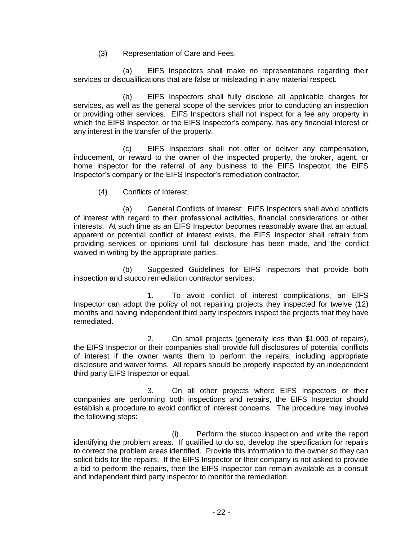(3) Representation of Care and Fees.

(a) EIFS Inspectors shall make no representations regarding their services or disqualifications that are false or misleading in any material respect.

(b) EIFS Inspectors shall fully disclose all applicable charges for services, as well as the general scope of the services prior to conducting an inspection or providing other services. EIFS Inspectors shall not inspect for a fee any property in which the EIFS Inspector, or the EIFS Inspector's company, has any financial interest or any interest in the transfer of the property.

(c) EIFS Inspectors shall not offer or deliver any compensation, inducement, or reward to the owner of the inspected property, the broker, agent, or home inspector for the referral of any business to the EIFS Inspector, the EIFS Inspector's company or the EIFS Inspector's remediation contractor.

(4) Conflicts of Interest.

(a) General Conflicts of Interest: EIFS Inspectors shall avoid conflicts of interest with regard to their professional activities, financial considerations or other interests. At such time as an EIFS Inspector becomes reasonably aware that an actual, apparent or potential conflict of interest exists, the EIFS Inspector shall refrain from providing services or opinions until full disclosure has been made, and the conflict waived in writing by the appropriate parties.

(b) Suggested Guidelines for EIFS Inspectors that provide both inspection and stucco remediation contractor services:

1. To avoid conflict of interest complications, an EIFS Inspector can adopt the policy of not repairing projects they inspected for twelve (12) months and having independent third party inspectors inspect the projects that they have remediated.

2. On small projects (generally less than \$1,000 of repairs), the EIFS Inspector or their companies shall provide full disclosures of potential conflicts of interest if the owner wants them to perform the repairs; including appropriate disclosure and waiver forms. All repairs should be properly inspected by an independent third party EIFS Inspector or equal.

3. On all other projects where EIFS Inspectors or their companies are performing both inspections and repairs, the EIFS Inspector should establish a procedure to avoid conflict of interest concerns. The procedure may involve the following steps:

(i) Perform the stucco inspection and write the report identifying the problem areas. If qualified to do so, develop the specification for repairs to correct the problem areas identified. Provide this information to the owner so they can solicit bids for the repairs. If the EIFS Inspector or their company is not asked to provide a bid to perform the repairs, then the EIFS Inspector can remain available as a consult and independent third party inspector to monitor the remediation.